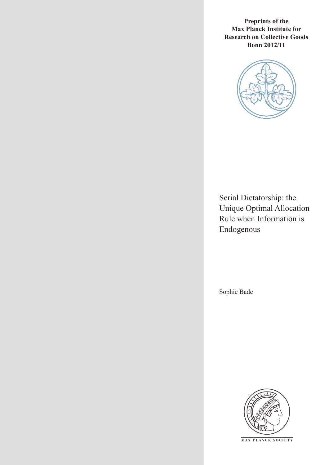**Preprints of the Max Planck Institute for Research on Collective Goods Bonn 2012/11**



Serial Dictatorship: the Unique Optimal Allocation Rule when Information is Endogenous

Sophie Bade



**M AX PLANCK SOCIETY**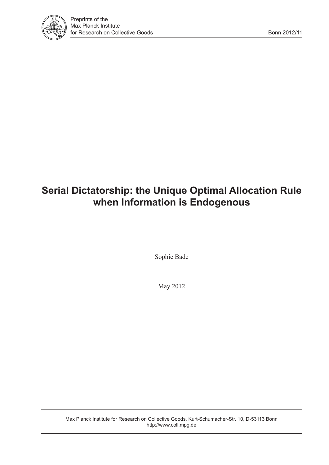

# **Serial Dictatorship: the Unique Optimal Allocation Rule when Information is Endogenous**

Sophie Bade

May 2012

Max Planck Institute for Research on Collective Goods, Kurt-Schumacher-Str. 10, D-53113 Bonn http://www.coll.mpg.de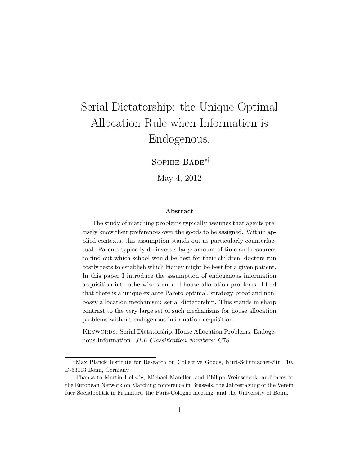# Serial Dictatorship: the Unique Optimal Allocation Rule when Information is Endogenous.

Sophie Bade∗†

May 4, 2012

#### Abstract

The study of matching problems typically assumes that agents precisely know their preferences over the goods to be assigned. Within applied contexts, this assumption stands out as particularly counterfactual. Parents typically do invest a large amount of time and resources to find out which school would be best for their children, doctors run costly tests to establish which kidney might be best for a given patient. In this paper I introduce the assumption of endogenous information acquisition into otherwise standard house allocation problems. I find that there is a unique ex ante Pareto-optimal, strategy-proof and nonbossy allocation mechanism: serial dictatorship. This stands in sharp contrast to the very large set of such mechanisms for house allocation problems without endogenous information acquisition.

KEYWORDS: Serial Dictatorship, House Allocation Problems, Endogenous Information. JEL Classification Numbers: C78.

<sup>∗</sup>Max Planck Institute for Research on Collective Goods, Kurt-Schumacher-Str. 10, D-53113 Bonn, Germany.

<sup>†</sup>Thanks to Martin Hellwig, Michael Mandler, and Philipp Weinschenk, audiences at the European Network on Matching conference in Brussels, the Jahrestagung of the Verein fuer Socialpolitik in Frankfurt, the Paris-Cologne meeting, and the University of Bonn.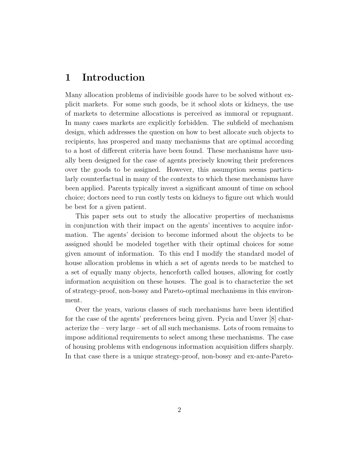### 1 Introduction

Many allocation problems of indivisible goods have to be solved without explicit markets. For some such goods, be it school slots or kidneys, the use of markets to determine allocations is perceived as immoral or repugnant. In many cases markets are explicitly forbidden. The subfield of mechanism design, which addresses the question on how to best allocate such objects to recipients, has prospered and many mechanisms that are optimal according to a host of different criteria have been found. These mechanisms have usually been designed for the case of agents precisely knowing their preferences over the goods to be assigned. However, this assumption seems particularly counterfactual in many of the contexts to which these mechanisms have been applied. Parents typically invest a significant amount of time on school choice; doctors need to run costly tests on kidneys to figure out which would be best for a given patient.

This paper sets out to study the allocative properties of mechanisms in conjunction with their impact on the agents' incentives to acquire information. The agents' decision to become informed about the objects to be assigned should be modeled together with their optimal choices for some given amount of information. To this end I modify the standard model of house allocation problems in which a set of agents needs to be matched to a set of equally many objects, henceforth called houses, allowing for costly information acquisition on these houses. The goal is to characterize the set of strategy-proof, non-bossy and Pareto-optimal mechanisms in this environment.

Over the years, various classes of such mechanisms have been identified for the case of the agents' preferences being given. Pycia and Unver [8] characterize the – very large – set of all such mechanisms. Lots of room remains to impose additional requirements to select among these mechanisms. The case of housing problems with endogenous information acquisition differs sharply. In that case there is a unique strategy-proof, non-bossy and ex-ante-Pareto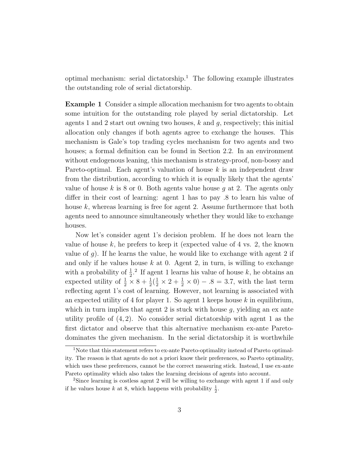optimal mechanism: serial dictatorship.<sup>1</sup> The following example illustrates the outstanding role of serial dictatorship.

Example 1 Consider a simple allocation mechanism for two agents to obtain some intuition for the outstanding role played by serial dictatorship. Let agents 1 and 2 start out owning two houses,  $k$  and  $q$ , respectively; this initial allocation only changes if both agents agree to exchange the houses. This mechanism is Gale's top trading cycles mechanism for two agents and two houses; a formal definition can be found in Section 2.2. In an environment without endogenous leaning, this mechanism is strategy-proof, non-bossy and Pareto-optimal. Each agent's valuation of house  $k$  is an independent draw from the distribution, according to which it is equally likely that the agents' value of house k is 8 or 0. Both agents value house q at 2. The agents only differ in their cost of learning: agent 1 has to pay .8 to learn his value of house  $k$ , whereas learning is free for agent 2. Assume furthermore that both agents need to announce simultaneously whether they would like to exchange houses.

Now let's consider agent 1's decision problem. If he does not learn the value of house  $k$ , he prefers to keep it (expected value of 4 vs. 2, the known value of  $q$ ). If he learns the value, he would like to exchange with agent 2 if and only if he values house  $k$  at 0. Agent 2, in turn, is willing to exchange with a probability of  $\frac{1}{2}$ .<sup>2</sup> If agent 1 learns his value of house k, he obtains an expected utility of  $\frac{1}{2} \times 8 + \frac{1}{2}(\frac{1}{2} \times 2 + \frac{1}{2} \times 0) - .8 = 3.7$ , with the last term reflecting agent 1's cost of learning. However, not learning is associated with an expected utility of 4 for player 1. So agent 1 keeps house  $k$  in equilibrium, which in turn implies that agent 2 is stuck with house  $g$ , yielding an ex ante utility profile of  $(4, 2)$ . No consider serial dictatorship with agent 1 as the first dictator and observe that this alternative mechanism ex-ante Paretodominates the given mechanism. In the serial dictatorship it is worthwhile

<sup>&</sup>lt;sup>1</sup>Note that this statement refers to ex-ante Pareto-optimality instead of Pareto optimality. The reason is that agents do not a priori know their preferences, so Pareto optimality, which uses these preferences, cannot be the correct measuring stick. Instead, I use ex-ante Pareto optimality which also takes the learning decisions of agents into account.

<sup>&</sup>lt;sup>2</sup>Since learning is costless agent 2 will be willing to exchange with agent 1 if and only if he values house k at 8, which happens with probability  $\frac{1}{2}$ .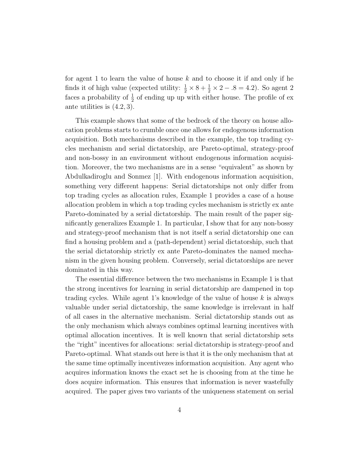for agent 1 to learn the value of house  $k$  and to choose it if and only if he finds it of high value (expected utility:  $\frac{1}{2} \times 8 + \frac{1}{2} \times 2 - .8 = 4.2$ ). So agent 2 faces a probability of  $\frac{1}{2}$  of ending up up with either house. The profile of ex ante utilities is (4.2, 3).

This example shows that some of the bedrock of the theory on house allocation problems starts to crumble once one allows for endogenous information acquisition. Both mechanisms described in the example, the top trading cycles mechanism and serial dictatorship, are Pareto-optimal, strategy-proof and non-bossy in an environment without endogenous information acquisition. Moreover, the two mechanisms are in a sense "equivalent" as shown by Abdulkadiroglu and Sonmez [1]. With endogenous information acquisition, something very different happens: Serial dictatorships not only differ from top trading cycles as allocation rules, Example 1 provides a case of a house allocation problem in which a top trading cycles mechanism is strictly ex ante Pareto-dominated by a serial dictatorship. The main result of the paper significantly generalizes Example 1. In particular, I show that for any non-bossy and strategy-proof mechanism that is not itself a serial dictatorship one can find a housing problem and a (path-dependent) serial dictatorship, such that the serial dictatorship strictly ex ante Pareto-dominates the named mechanism in the given housing problem. Conversely, serial dictatorships are never dominated in this way.

The essential difference between the two mechanisms in Example 1 is that the strong incentives for learning in serial dictatorship are dampened in top trading cycles. While agent 1's knowledge of the value of house  $k$  is always valuable under serial dictatorship, the same knowledge is irrelevant in half of all cases in the alternative mechanism. Serial dictatorship stands out as the only mechanism which always combines optimal learning incentives with optimal allocation incentives. It is well known that serial dictatorship sets the "right" incentives for allocations: serial dictatorship is strategy-proof and Pareto-optimal. What stands out here is that it is the only mechanism that at the same time optimally incentivezes information acquisition. Any agent who acquires information knows the exact set he is choosing from at the time he does acquire information. This ensures that information is never wastefully acquired. The paper gives two variants of the uniqueness statement on serial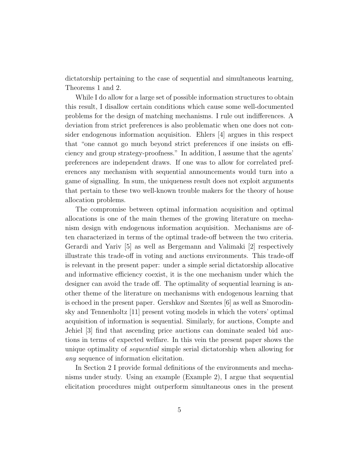dictatorship pertaining to the case of sequential and simultaneous learning, Theorems 1 and 2.

While I do allow for a large set of possible information structures to obtain this result, I disallow certain conditions which cause some well-documented problems for the design of matching mechanisms. I rule out indifferences. A deviation from strict preferences is also problematic when one does not consider endogenous information acquisition. Ehlers [4] argues in this respect that "one cannot go much beyond strict preferences if one insists on efficiency and group strategy-proofness." In addition, I assume that the agents' preferences are independent draws. If one was to allow for correlated preferences any mechanism with sequential announcements would turn into a game of signalling. In sum, the uniqueness result does not exploit arguments that pertain to these two well-known trouble makers for the theory of house allocation problems.

The compromise between optimal information acquisition and optimal allocations is one of the main themes of the growing literature on mechanism design with endogenous information acquisition. Mechanisms are often characterized in terms of the optimal trade-off between the two criteria. Gerardi and Yariv [5] as well as Bergemann and Valimaki [2] respectively illustrate this trade-off in voting and auctions environments. This trade-off is relevant in the present paper: under a simple serial dictatorship allocative and informative efficiency coexist, it is the one mechanism under which the designer can avoid the trade off. The optimality of sequential learning is another theme of the literature on mechanisms with endogenous learning that is echoed in the present paper. Gershkov and Szentes [6] as well as Smorodinsky and Tennenholtz [11] present voting models in which the voters' optimal acquisition of information is sequential. Similarly, for auctions, Compte and Jehiel [3] find that ascending price auctions can dominate sealed bid auctions in terms of expected welfare. In this vein the present paper shows the unique optimality of *sequential* simple serial dictatorship when allowing for any sequence of information elicitation.

In Section 2 I provide formal definitions of the environments and mechanisms under study. Using an example (Example 2), I argue that sequential elicitation procedures might outperform simultaneous ones in the present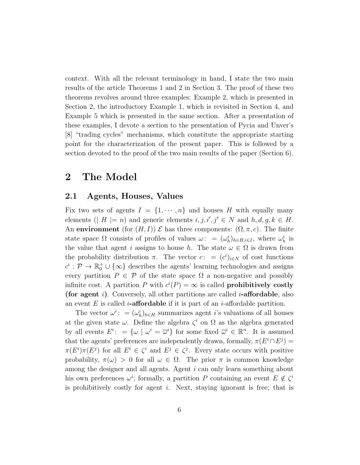context. With all the relevant terminology in hand, I state the two main results of the article Theorems 1 and 2 in Section 3. The proof of these two theorems revolves around three examples: Example 2, which is presented in Section 2, the introductory Example 1, which is revisited in Section 4, and Example 5 which is presented in the same section. After a presentation of these examples, I devote a section to the presentation of Pycia and Unver's [8] "trading cycles" mechanisms, which constitute the appropriate starting point for the characterization of the present paper. This is followed by a section devoted to the proof of the two main results of the paper (Section 6).

## 2 The Model

#### 2.1 Agents, Houses, Values

Fix two sets of agents  $I = \{1, \dots, n\}$  and houses H with equally many elements (| H |= n) and generic elements  $i, j, i', j' \in N$  and  $h, d, g, k \in H$ . An environment (for  $(H, I)$ )  $\mathcal E$  has three components:  $(\Omega, \pi, c)$ . The finite state space  $\Omega$  consists of profiles of values  $\omega: = (\omega_h^i)_{h \in H, i \in I}$ , where  $\omega_h^i$  is the value that agent i assigns to house h. The state  $\omega \in \Omega$  is drawn from the probability distribution  $\pi$ . The vector  $c:=(c^i)_{i\in\mathbb{N}}$  of cost functions  $c^i: \mathcal{P} \to \mathbb{R}_0^+ \cup {\infty}$  describes the agents' learning technologies and assigns every partition  $P \in \mathcal{P}$  of the state space  $\Omega$  a non-negative and possibly infinite cost. A partition P with  $c^{i}(P) = \infty$  is called **prohibitively costly** (for agent i). Conversely, all other partitions are called *i*-affordable, also an event E is called *i*-affordable if it is part of an *i*-affordable partition.

The vector  $\omega^i$ : =  $(\omega_h^i)_{h \in H}$  summarizes agent *i*'s valuations of all houses at the given state  $\omega$ . Define the algebra  $\zeta^i$  on  $\Omega$  as the algebra generated by all events  $E^i: = {\omega \mid \omega^i = \overline{\omega}^i}$  for some fixed  $\overline{\omega}^i \in \mathbb{R}^n$ . It is assumed that the agents' preferences are independently drawn, formally,  $\pi(E^i \cap E^j)$  =  $\pi(E^i)\pi(E^j)$  for all  $E^i \in \zeta^i$  and  $E^j \in \zeta^j$ . Every state occurs with positive probability,  $\pi(\omega) > 0$  for all  $\omega \in \Omega$ . The prior  $\pi$  is common knowledge among the designer and all agents. Agent i can only learn something about his own preferences  $\omega^i$ ; formally, a partition P containing an event  $E \notin \zeta^i$ is prohibitively costly for agent i. Next, staying ignorant is free; that is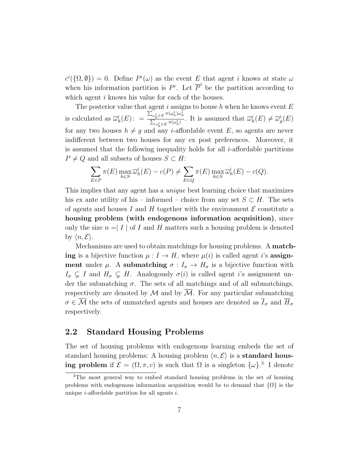$c^i(\{\Omega, \emptyset\}) = 0$ . Define  $P^i(\omega)$  as the event E that agent i knows at state  $\omega$ when his information partition is  $P^i$ . Let  $\overline{P}^i$  be the partition according to which agent *i* knows his value for each of the houses.

The posterior value that agent i assigns to house h when he knows event  $E$ is calculated as  $\overline{\omega}_h^i(E)$ :  $= \frac{\sum_{\omega_h^i \in E} \pi(\omega_h^i) \omega_h^i}{\sum_{i \in E} \pi(\omega_h^i)}$  $\frac{\sum_{\omega_h^i \in E} \pi(\omega_h^i)}{\sum_{\omega_h^i \in E} \pi(\omega_h^i)}$ . It is assumed that  $\overline{\omega}_h^i(E) \neq \overline{\omega}_g^i(E)$ for any two houses  $h \neq g$  and any *i*-affordable event E, so agents are never indifferent between two houses for any ex post preferences. Moreover, it is assumed that the following inequality holds for all  $i$ -affordable partitions  $P \neq Q$  and all subsets of houses  $S \subset H$ :

$$
\sum_{E \in P} \pi(E) \max_{h \in S} \overline{\omega}_h^i(E) - c(P) \neq \sum_{E \in Q} \pi(E) \max_{h \in S} \overline{\omega}_h^i(E) - c(Q).
$$

This implies that any agent has a unique best learning choice that maximizes his ex ante utility of his – informed – choice from any set  $S \subset H$ . The sets of agents and houses I and H together with the environment  $\mathcal E$  constitute a housing problem (with endogenous information acquisition), since only the size  $n = |I|$  of I and H matters such a housing problem is denoted by  $\langle n, \mathcal{E} \rangle$ .

Mechanisms are used to obtain matchings for housing problems. A matching is a bijective function  $\mu : I \to H$ , where  $\mu(i)$  is called agent i's assignment under  $\mu$ . A submatching  $\sigma: I_{\sigma} \to H_{\sigma}$  is a bijective function with  $I_{\sigma} \subsetneq I$  and  $H_{\sigma} \subsetneq H$ . Analogously  $\sigma(i)$  is called agent i's assignment under the submatching  $\sigma$ . The sets of all matchings and of all submatchings, respectively are denoted by  $M$  and by  $M$ . For any particular submatching  $\sigma \in \overline{\mathcal{M}}$  the sets of unmatched agents and houses are denoted as  $\overline{I}_{\sigma}$  and  $\overline{H}_{\sigma}$ respectively.

#### 2.2 Standard Housing Problems

The set of housing problems with endogenous learning embeds the set of standard housing problems: A housing problem  $\langle n, \mathcal{E} \rangle$  is a **standard hous**ing problem if  $\mathcal{E} = (\Omega, \pi, c)$  is such that  $\Omega$  is a singleton  $\{\omega\}$ <sup>3</sup>. I denote

<sup>3</sup>The most general way to embed standard housing problems in the set of housing problems with endogenous information acquisition would be to demand that  $\{\Omega\}$  is the unique  $i$ -affordable partition for all agents  $i$ .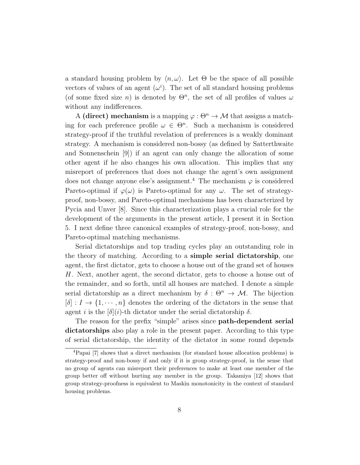a standard housing problem by  $\langle n, \omega \rangle$ . Let  $\Theta$  be the space of all possible vectors of values of an agent  $(\omega^i)$ . The set of all standard housing problems (of some fixed size n) is denoted by  $\Theta^n$ , the set of all profiles of values  $\omega$ without any indifferences.

A (direct) mechanism is a mapping  $\varphi : \Theta^n \to M$  that assigns a matching for each preference profile  $\omega \in \Theta^n$ . Such a mechanism is considered strategy-proof if the truthful revelation of preferences is a weakly dominant strategy. A mechanism is considered non-bossy (as defined by Satterthwaite and Sonnenschein [9]) if an agent can only change the allocation of some other agent if he also changes his own allocation. This implies that any misreport of preferences that does not change the agent's own assignment does not change anyone else's assignment.<sup>4</sup> The mechanism  $\varphi$  is considered Pareto-optimal if  $\varphi(\omega)$  is Pareto-optimal for any  $\omega$ . The set of strategyproof, non-bossy, and Pareto-optimal mechanisms has been characterized by Pycia and Unver [8]. Since this characterization plays a crucial role for the development of the arguments in the present article, I present it in Section 5. I next define three canonical examples of strategy-proof, non-bossy, and Pareto-optimal matching mechanisms.

Serial dictatorships and top trading cycles play an outstanding role in the theory of matching. According to a simple serial dictatorship, one agent, the first dictator, gets to choose a house out of the grand set of houses H. Next, another agent, the second dictator, gets to choose a house out of the remainder, and so forth, until all houses are matched. I denote a simple serial dictatorship as a direct mechanism by  $\delta : \Theta^n \to M$ . The bijection  $[\delta] : I \to \{1, \dots, n\}$  denotes the ordering of the dictators in the sense that agent i is the  $[\delta](i)$ -th dictator under the serial dictatorship  $\delta$ .

The reason for the prefix "simple" arises since **path-dependent serial** dictatorships also play a role in the present paper. According to this type of serial dictatorship, the identity of the dictator in some round depends

<sup>4</sup>Papai [7] shows that a direct mechanism (for standard house allocation problems) is strategy-proof and non-bossy if and only if it is group strategy-proof, in the sense that no group of agents can misreport their preferences to make at least one member of the group better off without hurting any member in the group. Takamiya [12] shows that group strategy-proofness is equivalent to Maskin monotonicity in the context of standard housing problems.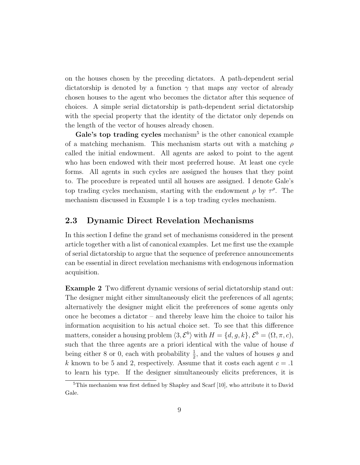on the houses chosen by the preceding dictators. A path-dependent serial dictatorship is denoted by a function  $\gamma$  that maps any vector of already chosen houses to the agent who becomes the dictator after this sequence of choices. A simple serial dictatorship is path-dependent serial dictatorship with the special property that the identity of the dictator only depends on the length of the vector of houses already chosen.

Gale's top trading cycles mechanism<sup>5</sup> is the other canonical example of a matching mechanism. This mechanism starts out with a matching  $\rho$ called the initial endowment. All agents are asked to point to the agent who has been endowed with their most preferred house. At least one cycle forms. All agents in such cycles are assigned the houses that they point to. The procedure is repeated until all houses are assigned. I denote Gale's top trading cycles mechanism, starting with the endowment  $\rho$  by  $\tau^{\rho}$ . The mechanism discussed in Example 1 is a top trading cycles mechanism.

#### 2.3 Dynamic Direct Revelation Mechanisms

In this section I define the grand set of mechanisms considered in the present article together with a list of canonical examples. Let me first use the example of serial dictatorship to argue that the sequence of preference announcements can be essential in direct revelation mechanisms with endogenous information acquisition.

Example 2 Two different dynamic versions of serial dictatorship stand out: The designer might either simultaneously elicit the preferences of all agents; alternatively the designer might elicit the preferences of some agents only once he becomes a dictator – and thereby leave him the choice to tailor his information acquisition to his actual choice set. To see that this difference matters, consider a housing problem  $\langle 3, \mathcal{E}^b \rangle$  with  $H = \{d, g, k\}, \mathcal{E}^b = (\Omega, \pi, c),$ such that the three agents are a priori identical with the value of house d being either 8 or 0, each with probability  $\frac{1}{2}$ , and the values of houses g and k known to be 5 and 2, respectively. Assume that it costs each agent  $c = 0.1$ to learn his type. If the designer simultaneously elicits preferences, it is

<sup>5</sup>This mechanism was first defined by Shapley and Scarf [10], who attribute it to David Gale.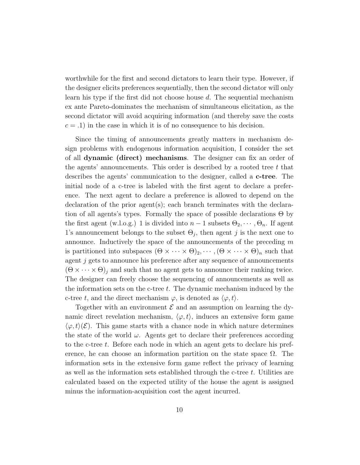worthwhile for the first and second dictators to learn their type. However, if the designer elicits preferences sequentially, then the second dictator will only learn his type if the first did not choose house d. The sequential mechanism ex ante Pareto-dominates the mechanism of simultaneous elicitation, as the second dictator will avoid acquiring information (and thereby save the costs  $c = .1$ ) in the case in which it is of no consequence to his decision.

Since the timing of announcements greatly matters in mechanism design problems with endogenous information acquisition, I consider the set of all dynamic (direct) mechanisms. The designer can fix an order of the agents' announcements. This order is described by a rooted tree  $t$  that describes the agents' communication to the designer, called a c-tree. The initial node of a c-tree is labeled with the first agent to declare a preference. The next agent to declare a preference is allowed to depend on the declaration of the prior agent(s); each branch terminates with the declaration of all agents's types. Formally the space of possible declarations Θ by the first agent (w.l.o.g.) 1 is divided into  $n-1$  subsets  $\Theta_2, \cdots, \Theta_n$ . If agent 1's announcement belongs to the subset  $\Theta_j$ , then agent j is the next one to announce. Inductively the space of the announcements of the preceding  $m$ is partitioned into subspaces  $(\Theta \times \cdots \times \Theta)_2, \cdots, (\Theta \times \cdots \times \Theta)_n$  such that agent j gets to announce his preference after any sequence of announcements  $(\Theta \times \cdots \times \Theta)_i$  and such that no agent gets to announce their ranking twice. The designer can freely choose the sequencing of announcements as well as the information sets on the c-tree t. The dynamic mechanism induced by the c-tree t, and the direct mechanism  $\varphi$ , is denoted as  $\langle \varphi, t \rangle$ .

Together with an environment  $\mathcal E$  and an assumption on learning the dynamic direct revelation mechanism,  $\langle \varphi, t \rangle$ , induces an extensive form game  $\langle \varphi, t \rangle (\mathcal{E})$ . This game starts with a chance node in which nature determines the state of the world  $\omega$ . Agents get to declare their preferences according to the c-tree t. Before each node in which an agent gets to declare his preference, he can choose an information partition on the state space  $\Omega$ . The information sets in the extensive form game reflect the privacy of learning as well as the information sets established through the c-tree t. Utilities are calculated based on the expected utility of the house the agent is assigned minus the information-acquisition cost the agent incurred.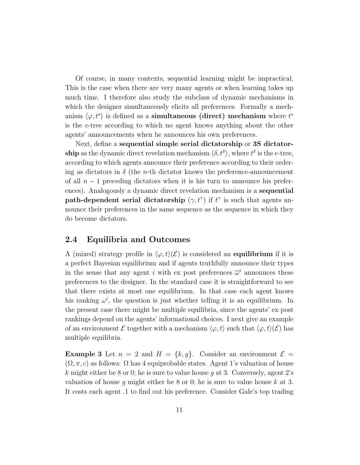Of course, in many contexts, sequential learning might be impractical. This is the case when there are very many agents or when learning takes up much time. I therefore also study the subclass of dynamic mechanisms in which the designer simultaneously elicits all preferences. Formally a mechanism  $\langle \varphi, t^s \rangle$  is defined as a **simultaneous (direct) mechanism** where  $t^s$ is the c-tree according to which no agent knows anything about the other agents' announcements when he announces his own preferences.

Next, define a sequential simple serial dictatorship or 3S dictator**ship** as the dynamic direct revelation mechanism  $\langle \delta, t^{\delta} \rangle$ , where  $t^{\delta}$  is the c-tree, according to which agents announce their preference according to their ordering as dictators in  $\delta$  (the *n*-th dictator knows the preference-announcement of all  $n-1$  preceding dictators when it is his turn to announce his preferences). Analogously a dynamic direct revelation mechanism is a sequential path-dependent serial dictatorship  $(\gamma, t^{\gamma})$  if  $t^{\gamma}$  is such that agents announce their preferences in the same sequence as the sequence in which they do become dictators.

#### 2.4 Equilibria and Outcomes

A (mixed) strategy profile in  $\langle \varphi, t \rangle (\mathcal{E})$  is considered an equilibrium if it is a perfect Bayesian equilibrium and if agents truthfully announce their types in the sense that any agent i with ex post preferences  $\overline{\omega}^i$  announces these preferences to the designer. In the standard case it is straightforward to see that there exists at most one equilibrium. In that case each agent knows his ranking  $\omega^i$ , the question is just whether telling it is an equilibrium. In the present case there might be multiple equilibria, since the agents' ex post rankings depend on the agents' informational choices. I next give an example of an environment  $\mathcal E$  together with a mechanism  $\langle \varphi, t \rangle$  such that  $\langle \varphi, t \rangle(\mathcal E)$  has multiple equilibria.

**Example 3** Let  $n = 2$  and  $H = \{k, g\}$ . Consider an environment  $\mathcal{E} =$  $(\Omega, \pi, c)$  as follows:  $\Omega$  has 4 equiprobable states. Agent 1's valuation of house k might either be 8 or 0; he is sure to value house g at 3. Conversely, agent  $2$ 's valuation of house g might either be 8 or 0; he is sure to value house  $k$  at 3. It costs each agent .1 to find out his preference. Consider Gale's top trading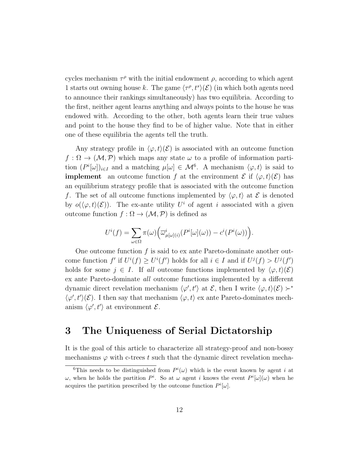cycles mechanism  $\tau^{\rho}$  with the initial endowment  $\rho$ , according to which agent 1 starts out owning house k. The game  $\langle \tau^{\rho}, t^s \rangle (\mathcal{E})$  (in which both agents need to announce their rankings simultaneously) has two equilibria. According to the first, neither agent learns anything and always points to the house he was endowed with. According to the other, both agents learn their true values and point to the house they find to be of higher value. Note that in either one of these equilibria the agents tell the truth.

Any strategy profile in  $\langle \varphi, t \rangle (\mathcal{E})$  is associated with an outcome function  $f: \Omega \to (\mathcal{M}, \mathcal{P})$  which maps any state  $\omega$  to a profile of information partition  $(P^i[\omega])_{i\in I}$  and a matching  $\mu[\omega] \in \mathcal{M}^6$ . A mechanism  $\langle \varphi, t \rangle$  is said to **implement** an outcome function f at the environment  $\mathcal{E}$  if  $\langle \varphi, t \rangle(\mathcal{E})$  has an equilibrium strategy profile that is associated with the outcome function f. The set of all outcome functions implemented by  $\langle \varphi, t \rangle$  at E is denoted by  $o(\langle \varphi, t \rangle (\mathcal{E}))$ . The ex-ante utility U<sup>i</sup> of agent i associated with a given outcome function  $f : \Omega \to (\mathcal{M}, \mathcal{P})$  is defined as

$$
U^i(f) = \sum_{\omega \in \Omega} \pi(\omega) \Big( \overline{\omega}_{\mu[\omega](i)}^i(P^i[\omega](\omega)) - c^i(P^i(\omega)) \Big).
$$

One outcome function  $f$  is said to ex ante Pareto-dominate another outcome function  $f'$  if  $U^{i}(f) \geq U^{i}(f')$  holds for all  $i \in I$  and if  $U^{j}(f) > U^{j}(f')$ holds for some  $j \in I$ . If all outcome functions implemented by  $\langle \varphi, t \rangle (\mathcal{E})$ ex ante Pareto-dominate all outcome functions implemented by a different dynamic direct revelation mechanism  $\langle \varphi', t' \rangle$  at  $\mathcal{E}$ , then I write  $\langle \varphi, t \rangle (\mathcal{E}) \succ^*$  $\langle \varphi', t' \rangle (\mathcal{E})$ . I then say that mechanism  $\langle \varphi, t \rangle$  ex ante Pareto-dominates mechanism  $\langle \varphi', t' \rangle$  at environment  $\mathcal{E}$ .

### 3 The Uniqueness of Serial Dictatorship

It is the goal of this article to characterize all strategy-proof and non-bossy mechanisms  $\varphi$  with c-trees t such that the dynamic direct revelation mecha-

<sup>&</sup>lt;sup>6</sup>This needs to be distinguished from  $P^i(\omega)$  which is the event known by agent i at ω, when he holds the partition  $P^i$ . So at ω agent i knows the event  $P^i[\omega](\omega)$  when he acquires the partition prescribed by the outcome function  $P^i[\omega]$ .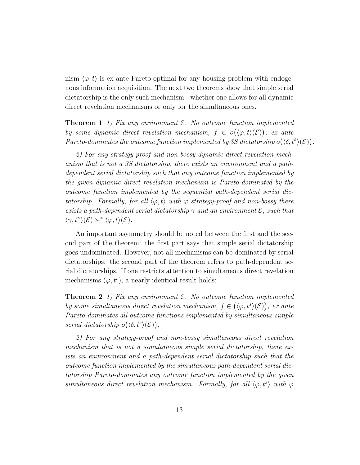nism  $\langle \varphi, t \rangle$  is ex ante Pareto-optimal for any housing problem with endogenous information acquisition. The next two theorems show that simple serial dictatorship is the only such mechanism - whether one allows for all dynamic direct revelation mechanisms or only for the simultaneous ones.

**Theorem 1** 1) Fix any environment  $\mathcal{E}$ . No outcome function implemented by some dynamic direct revelation mechanism,  $f \in o(\langle \varphi, t \rangle(\mathcal{E}))$ , ex ante Pareto-dominates the outcome function implemented by 3S dictatorship  $o(\langle \delta, t^{\delta} \rangle(\mathcal{E}))$ .

2) For any strategy-proof and non-bossy dynamic direct revelation mechanism that is not a 3S dictatorship, there exists an environment and a pathdependent serial dictatorship such that any outcome function implemented by the given dynamic direct revelation mechanism is Pareto-dominated by the outcome function implemented by the sequential path-dependent serial dictatorship. Formally, for all  $\langle \varphi, t \rangle$  with  $\varphi$  strategy-proof and non-bossy there exists a path-dependent serial dictatorship  $\gamma$  and an environment  $\mathcal{E}$ , such that  $\langle \gamma, t^{\gamma} \rangle (\mathcal{E}) \succ^* \langle \varphi, t \rangle (\mathcal{E}).$ 

An important asymmetry should be noted between the first and the second part of the theorem: the first part says that simple serial dictatorship goes undominated. However, not all mechanisms can be dominated by serial dictatorships: the second part of the theorem refers to path-dependent serial dictatorships. If one restricts attention to simultaneous direct revelation mechanisms  $(\varphi, t^s)$ , a nearly identical result holds:

**Theorem 2** 1) Fix any environment  $\mathcal{E}$ . No outcome function implemented by some simultaneous direct revelation mechanism,  $f \in (\langle \varphi, t^s \rangle(\mathcal{E}))$ , ex ante Pareto-dominates all outcome functions implemented by simultaneous simple serial dictatorship  $o(\langle \delta, t^s \rangle (\mathcal{E}))$ .

2) For any strategy-proof and non-bossy simultaneous direct revelation mechanism that is not a simultaneous simple serial dictatorship, there exists an environment and a path-dependent serial dictatorship such that the outcome function implemented by the simultaneous path-dependent serial dictatorship Pareto-dominates any outcome function implemented by the given simultaneous direct revelation mechanism. Formally, for all  $\langle \varphi, t^s \rangle$  with  $\varphi$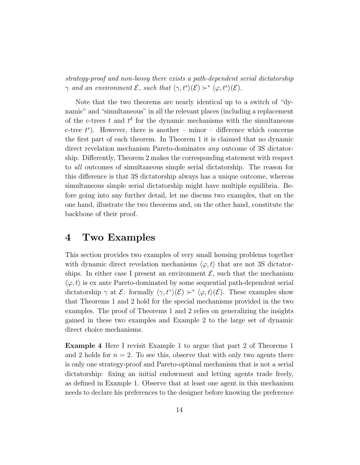strategy-proof and non-bossy there exists a path-dependent serial dictatorship  $\gamma$  and an environment  $\mathcal{E}$ , such that  $\langle \gamma, t^s \rangle(\mathcal{E}) \succ^* \langle \varphi, t^s \rangle(\mathcal{E})$ .

Note that the two theorems are nearly identical up to a switch of "dynamic" and "simultaneous" in all the relevant places (including a replacement of the c-trees t and  $t^{\delta}$  for the dynamic mechanisms with the simultaneous c-tree  $t^s$ ). However, there is another – minor – difference which concerns the first part of each theorem. In Theorem 1 it is claimed that no dynamic direct revelation mechanism Pareto-dominates any outcome of 3S dictatorship. Differently, Theorem 2 makes the corresponding statement with respect to all outcomes of simultaneous simple serial dictatorship. The reason for this difference is that 3S dictatorship always has a unique outcome, whereas simultaneous simple serial dictatorship might have multiple equilibria. Before going into any further detail, let me discuss two examples, that on the one hand, illustrate the two theorems and, on the other hand, constitute the backbone of their proof.

#### 4 Two Examples

This section provides two examples of very small housing problems together with dynamic direct revelation mechanisms  $\langle \varphi, t \rangle$  that are not 3S dictatorships. In either case I present an environment  $\mathcal{E}$ , such that the mechanism  $\langle \varphi, t \rangle$  is ex ante Pareto-dominated by some sequential path-dependent serial dictatorship  $\gamma$  at  $\mathcal{E}$ : formally  $\langle \gamma, t^{\gamma} \rangle(\mathcal{E}) \rangle^* \langle \varphi, t \rangle(\mathcal{E})$ . These examples show that Theorems 1 and 2 hold for the special mechanisms provided in the two examples. The proof of Theorems 1 and 2 relies on generalizing the insights gained in these two examples and Example 2 to the large set of dynamic direct choice mechanisms.

Example 4 Here I revisit Example 1 to argue that part 2 of Theorems 1 and 2 holds for  $n = 2$ . To see this, observe that with only two agents there is only one strategy-proof and Pareto-optimal mechanism that is not a serial dictatorship: fixing an initial endowment and letting agents trade freely, as defined in Example 1. Observe that at least one agent in this mechanism needs to declare his preferences to the designer before knowing the preference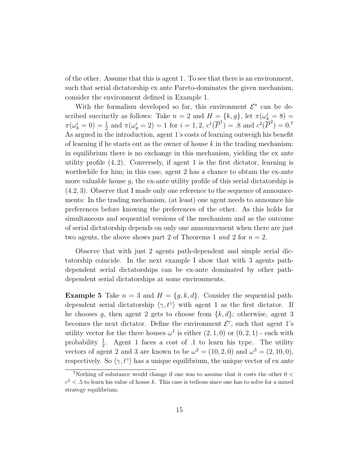of the other. Assume that this is agent 1. To see that there is an environment, such that serial dictatorship ex ante Pareto-dominates the given mechanism, consider the environment defined in Example 1.

With the formalism developed so far, this environment  $\mathcal{E}^a$  can be described succinctly as follows: Take  $n = 2$  and  $H = \{k, g\}$ , let  $\pi(\omega_k^i = 8) =$  $\pi(\omega_k^i = 0) = \frac{1}{2}$  and  $\pi(\omega_g^i = 2) = 1$  for  $i = 1, 2, c^1(\overline{P}^1) = .8$  and  $c^2(\overline{P}^2) = 0.7$ As argued in the introduction, agent 1's costs of learning outweigh his benefit of learning if he starts out as the owner of house  $k$  in the trading mechanism: in equilibrium there is no exchange in this mechanism, yielding the ex ante utility profile  $(4, 2)$ . Conversely, if agent 1 is the first dictator, learning is worthwhile for him; in this case, agent 2 has a chance to obtain the ex-ante more valuable house  $g$ , the ex-ante utility profile of this serial dictatorship is  $(4.2, 3)$ . Observe that I made only one reference to the sequence of announcements: In the trading mechanism, (at least) one agent needs to announce his preferences before knowing the preferences of the other. As this holds for simultaneous and sequential versions of the mechanism and as the outcome of serial dictatorship depends on only one announcement when there are just two agents, the above shows part 2 of Theorems 1 and 2 for  $n = 2$ .

Observe that with just 2 agents path-dependent and simple serial dictatorship coincide. In the next example I show that with 3 agents pathdependent serial dictatorships can be ex-ante dominated by other pathdependent serial dictatorships at some environments.

**Example 5** Take  $n = 3$  and  $H = \{g, k, d\}$ . Consider the sequential pathdependent serial dictatorship  $\langle \gamma, t^{\gamma} \rangle$  with agent 1 as the first dictator. If he chooses g, then agent 2 gets to choose from  $\{k, d\}$ ; otherwise, agent 3 becomes the next dictator. Define the environment  $\mathcal{E}^c$ , such that agent 1's utility vector for the three houses  $\omega^1$  is either  $(2,1,0)$  or  $(0,2,1)$  - each with probability  $\frac{1}{2}$ . Agent 1 faces a cost of .1 to learn his type. The utility vectors of agent 2 and 3 are known to be  $\omega^2 = (10, 2, 0)$  and  $\omega^3 = (2, 10, 0)$ , respectively. So  $\langle \gamma, t^{\gamma} \rangle$  has a unique equilibrium, the unique vector of ex ante

<sup>&</sup>lt;sup>7</sup>Nothing of substance would change if one was to assume that it costs the other  $0 <$  $c<sup>2</sup>$  < .5 to learn his value of house k. This case is tedious since one has to solve for a mixed strategy equilibrium.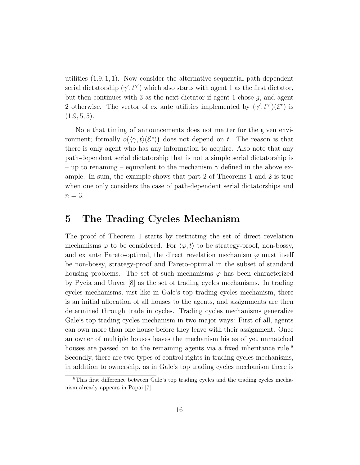utilities  $(1.9, 1, 1)$ . Now consider the alternative sequential path-dependent serial dictatorship  $(\gamma', t^{\gamma'})$  which also starts with agent 1 as the first dictator, but then continues with 3 as the next dictator if agent 1 chose  $g$ , and agent 2 otherwise. The vector of ex ante utilities implemented by  $(\gamma', t^{\gamma'}) (\mathcal{E}^c)$  is  $(1.9, 5, 5).$ 

Note that timing of announcements does not matter for the given environment; formally  $o(\langle \gamma, t \rangle (\mathcal{E}^c))$  does not depend on t. The reason is that there is only agent who has any information to acquire. Also note that any path-dependent serial dictatorship that is not a simple serial dictatorship is – up to renaming – equivalent to the mechanism  $\gamma$  defined in the above example. In sum, the example shows that part 2 of Theorems 1 and 2 is true when one only considers the case of path-dependent serial dictatorships and  $n=3$ .

## 5 The Trading Cycles Mechanism

The proof of Theorem 1 starts by restricting the set of direct revelation mechanisms  $\varphi$  to be considered. For  $\langle \varphi, t \rangle$  to be strategy-proof, non-bossy, and ex ante Pareto-optimal, the direct revelation mechanism  $\varphi$  must itself be non-bossy, strategy-proof and Pareto-optimal in the subset of standard housing problems. The set of such mechanisms  $\varphi$  has been characterized by Pycia and Unver [8] as the set of trading cycles mechanisms. In trading cycles mechanisms, just like in Gale's top trading cycles mechanism, there is an initial allocation of all houses to the agents, and assignments are then determined through trade in cycles. Trading cycles mechanisms generalize Gale's top trading cycles mechanism in two major ways: First of all, agents can own more than one house before they leave with their assignment. Once an owner of multiple houses leaves the mechanism his as of yet unmatched houses are passed on to the remaining agents via a fixed inheritance rule.<sup>8</sup> Secondly, there are two types of control rights in trading cycles mechanisms, in addition to ownership, as in Gale's top trading cycles mechanism there is

<sup>8</sup>This first difference between Gale's top trading cycles and the trading cycles mechanism already appears in Papai [7].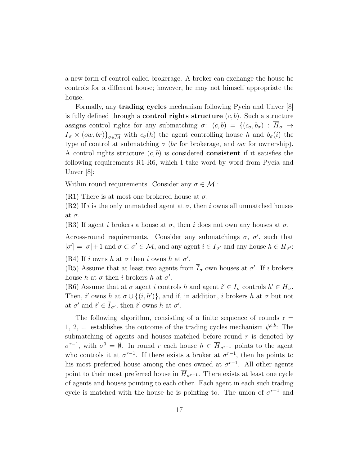a new form of control called brokerage. A broker can exchange the house he controls for a different house; however, he may not himself appropriate the house.

Formally, any trading cycles mechanism following Pycia and Unver [8] is fully defined through a **control rights structure**  $(c, b)$ . Such a structure assigns control rights for any submatching  $\sigma: (c, b) = \{(c_{\sigma}, b_{\sigma}) : \overline{H}_{\sigma} \to$  $\overline{I}_{\sigma} \times (ow, br) \}_{\sigma \in \overline{\mathcal{M}}}$  with  $c_{\sigma}(h)$  the agent controlling house h and  $b_{\sigma}(i)$  the type of control at submatching  $\sigma$  (br for brokerage, and ow for ownership). A control rights structure  $(c, b)$  is considered **consistent** if it satisfies the following requirements R1-R6, which I take word by word from Pycia and Unver [8]:

Within round requirements. Consider any  $\sigma \in \overline{\mathcal{M}}$ :

(R1) There is at most one brokered house at  $\sigma$ .

 $(R2)$  If i is the only unmatched agent at  $\sigma$ , then i owns all unmatched houses at  $\sigma$ .

(R3) If agent i brokers a house at  $\sigma$ , then i does not own any houses at  $\sigma$ .

Across-round requirements. Consider any submatchings  $\sigma$ ,  $\sigma'$ , such that  $|\sigma'| = |\sigma| + 1$  and  $\sigma \subset \sigma' \in \overline{\mathcal{M}}$ , and any agent  $i \in \overline{I}_{\sigma'}$  and any house  $h \in \overline{H}_{\sigma'}$ :

(R4) If i owns h at  $\sigma$  then i owns h at  $\sigma'$ .

(R5) Assume that at least two agents from  $\overline{I}_{\sigma}$  own houses at  $\sigma'$ . If i brokers house h at  $\sigma$  then i brokers h at  $\sigma'$ .

(R6) Assume that at  $\sigma$  agent i controls h and agent  $i' \in \overline{I}_{\sigma}$  controls  $h' \in \overline{H}_{\sigma}$ . Then, i' owns h at  $\sigma \cup \{(i, h')\}$ , and if, in addition, i brokers h at  $\sigma$  but not at  $\sigma'$  and  $i' \in \overline{I}_{\sigma'}$ , then i' owns h at  $\sigma'$ .

The following algorithm, consisting of a finite sequence of rounds  $r =$ 1, 2, ... establishes the outcome of the trading cycles mechanism  $\psi^{c,b}$ . The submatching of agents and houses matched before round  $r$  is denoted by  $\sigma^{r-1}$ , with  $\sigma^0 = \emptyset$ . In round r each house  $h \in \overline{H}_{\sigma^{r-1}}$  points to the agent who controls it at  $\sigma^{r-1}$ . If there exists a broker at  $\sigma^{r-1}$ , then he points to his most preferred house among the ones owned at  $\sigma^{r-1}$ . All other agents point to their most preferred house in  $\overline{H}_{\sigma^{r-1}}$ . There exists at least one cycle of agents and houses pointing to each other. Each agent in each such trading cycle is matched with the house he is pointing to. The union of  $\sigma^{r-1}$  and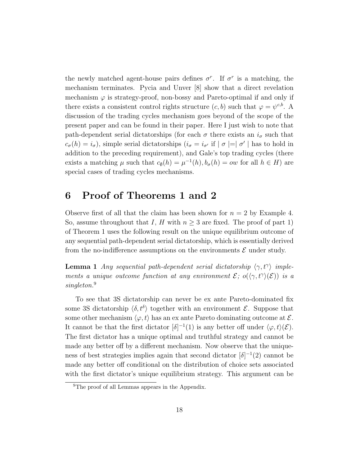the newly matched agent-house pairs defines  $\sigma^r$ . If  $\sigma^r$  is a matching, the mechanism terminates. Pycia and Unver [8] show that a direct revelation mechanism  $\varphi$  is strategy-proof, non-bossy and Pareto-optimal if and only if there exists a consistent control rights structure  $(c, b)$  such that  $\varphi = \psi^{c,b}$ . A discussion of the trading cycles mechanism goes beyond of the scope of the present paper and can be found in their paper. Here I just wish to note that path-dependent serial dictatorships (for each  $\sigma$  there exists an  $i_{\sigma}$  such that  $c_{\sigma}(h) = i_{\sigma}$ ), simple serial dictatorships  $(i_{\sigma} = i_{\sigma'}$  if  $|\sigma| = |\sigma'|$  has to hold in addition to the preceding requirement), and Gale's top trading cycles (there exists a matching  $\mu$  such that  $c_{\emptyset}(h) = \mu^{-1}(h), b_{\sigma}(h) = \text{ow}$  for all  $h \in H$ ) are special cases of trading cycles mechanisms.

# 6 Proof of Theorems 1 and 2

Observe first of all that the claim has been shown for  $n = 2$  by Example 4. So, assume throughout that I, H with  $n \geq 3$  are fixed. The proof of part 1) of Theorem 1 uses the following result on the unique equilibrium outcome of any sequential path-dependent serial dictatorship, which is essentially derived from the no-indifference assumptions on the environments  $\mathcal E$  under study.

**Lemma 1** Any sequential path-dependent serial dictatorship  $\langle \gamma, t^{\gamma} \rangle$  implements a unique outcome function at any environment  $\mathcal{E}$ ;  $o(\langle \gamma, t^{\gamma} \rangle(\mathcal{E}))$  is a singleton.<sup>9</sup>

To see that 3S dictatorship can never be ex ante Pareto-dominated fix some 3S dictatorship  $\langle \delta, t^{\delta} \rangle$  together with an environment  $\mathcal{E}$ . Suppose that some other mechanism  $\langle \varphi, t \rangle$  has an ex ante Pareto dominating outcome at  $\mathcal{E}$ . It cannot be that the first dictator  $\lbrack \delta \rbrack^{-1}(1)$  is any better off under  $\langle \varphi, t \rangle(\mathcal{E})$ . The first dictator has a unique optimal and truthful strategy and cannot be made any better off by a different mechanism. Now observe that the uniqueness of best strategies implies again that second dictator  $\lbrack \delta \rbrack^{-1}(2)$  cannot be made any better off conditional on the distribution of choice sets associated with the first dictator's unique equilibrium strategy. This argument can be

<sup>&</sup>lt;sup>9</sup>The proof of all Lemmas appears in the Appendix.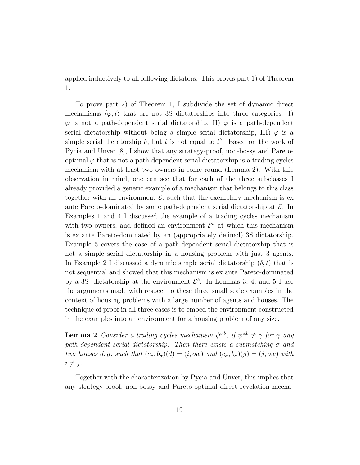applied inductively to all following dictators. This proves part 1) of Theorem 1.

To prove part 2) of Theorem 1, I subdivide the set of dynamic direct mechanisms  $\langle \varphi, t \rangle$  that are not 3S dictatorships into three categories: I)  $\varphi$  is not a path-dependent serial dictatorship, II)  $\varphi$  is a path-dependent serial dictatorship without being a simple serial dictatorship, III)  $\varphi$  is a simple serial dictatorship  $\delta$ , but t is not equal to  $t^{\delta}$ . Based on the work of Pycia and Unver [8], I show that any strategy-proof, non-bossy and Paretooptimal  $\varphi$  that is not a path-dependent serial dictatorship is a trading cycles mechanism with at least two owners in some round (Lemma 2). With this observation in mind, one can see that for each of the three subclasses I already provided a generic example of a mechanism that belongs to this class together with an environment  $\mathcal{E}$ , such that the exemplary mechanism is exante Pareto-dominated by some path-dependent serial dictatorship at  $\mathcal{E}$ . In Examples 1 and 4 I discussed the example of a trading cycles mechanism with two owners, and defined an environment  $\mathcal{E}^a$  at which this mechanism is ex ante Pareto-dominated by an (appropriately defined) 3S dictatorship. Example 5 covers the case of a path-dependent serial dictatorship that is not a simple serial dictatorship in a housing problem with just 3 agents. In Example 2 I discussed a dynamic simple serial dictatorship  $(\delta, t)$  that is not sequential and showed that this mechanism is ex ante Pareto-dominated by a 3S- dictatorship at the environment  $\mathcal{E}^b$ . In Lemmas 3, 4, and 5 I use the arguments made with respect to these three small scale examples in the context of housing problems with a large number of agents and houses. The technique of proof in all three cases is to embed the environment constructed in the examples into an environment for a housing problem of any size.

**Lemma 2** Consider a trading cycles mechanism  $\psi^{c,b}$ , if  $\psi^{c,b} \neq \gamma$  for  $\gamma$  any path-dependent serial dictatorship. Then there exists a submatching  $\sigma$  and two houses d, g, such that  $(c_{\sigma}, b_{\sigma})(d) = (i,ow)$  and  $(c_{\sigma}, b_{\sigma})(g) = (j,ow)$  with  $i \neq j$ .

Together with the characterization by Pycia and Unver, this implies that any strategy-proof, non-bossy and Pareto-optimal direct revelation mecha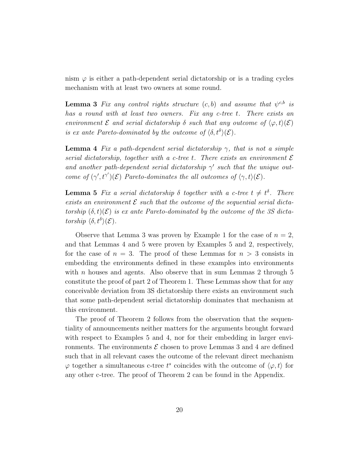nism  $\varphi$  is either a path-dependent serial dictatorship or is a trading cycles mechanism with at least two owners at some round.

**Lemma 3** Fix any control rights structure  $(c, b)$  and assume that  $\psi^{c,b}$  is has a round with at least two owners. Fix any c-tree t. There exists an environment  $\mathcal E$  and serial dictatorship  $\delta$  such that any outcome of  $\langle \varphi, t \rangle (\mathcal E)$ is ex ante Pareto-dominated by the outcome of  $\langle \delta, t^{\delta} \rangle (\mathcal{E})$ .

**Lemma 4** Fix a path-dependent serial dictatorship  $\gamma$ , that is not a simple serial dictatorship, together with a c-tree t. There exists an environment  $\mathcal E$ and another path-dependent serial dictatorship  $\gamma'$  such that the unique outcome of  $(\gamma', t^{\gamma'})(\mathcal{E})$  Pareto-dominates the all outcomes of  $\langle \gamma, t \rangle(\mathcal{E})$ .

**Lemma 5** Fix a serial dictatorship  $\delta$  together with a c-tree  $t \neq t^{\delta}$ . There exists an environment  $\mathcal E$  such that the outcome of the sequential serial dictatorship  $(\delta, t)(\mathcal{E})$  is ex ante Pareto-dominated by the outcome of the 3S dictatorship  $\langle \delta, t^{\delta} \rangle (\mathcal{E})$ .

Observe that Lemma 3 was proven by Example 1 for the case of  $n = 2$ , and that Lemmas 4 and 5 were proven by Examples 5 and 2, respectively, for the case of  $n = 3$ . The proof of these Lemmas for  $n > 3$  consists in embedding the environments defined in these examples into environments with n houses and agents. Also observe that in sum Lemmas 2 through  $5$ constitute the proof of part 2 of Theorem 1. These Lemmas show that for any conceivable deviation from 3S dictatorship there exists an environment such that some path-dependent serial dictatorship dominates that mechanism at this environment.

The proof of Theorem 2 follows from the observation that the sequentiality of announcements neither matters for the arguments brought forward with respect to Examples 5 and 4, nor for their embedding in larger environments. The environments  $\mathcal E$  chosen to prove Lemmas 3 and 4 are defined such that in all relevant cases the outcome of the relevant direct mechanism  $\varphi$  together a simultaneous c-tree  $t^s$  coincides with the outcome of  $\langle \varphi, t \rangle$  for any other c-tree. The proof of Theorem 2 can be found in the Appendix.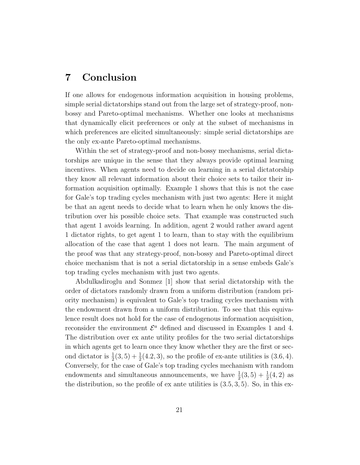# 7 Conclusion

If one allows for endogenous information acquisition in housing problems, simple serial dictatorships stand out from the large set of strategy-proof, nonbossy and Pareto-optimal mechanisms. Whether one looks at mechanisms that dynamically elicit preferences or only at the subset of mechanisms in which preferences are elicited simultaneously: simple serial dictatorships are the only ex-ante Pareto-optimal mechanisms.

Within the set of strategy-proof and non-bossy mechanisms, serial dictatorships are unique in the sense that they always provide optimal learning incentives. When agents need to decide on learning in a serial dictatorship they know all relevant information about their choice sets to tailor their information acquisition optimally. Example 1 shows that this is not the case for Gale's top trading cycles mechanism with just two agents: Here it might be that an agent needs to decide what to learn when he only knows the distribution over his possible choice sets. That example was constructed such that agent 1 avoids learning. In addition, agent 2 would rather award agent 1 dictator rights, to get agent 1 to learn, than to stay with the equilibrium allocation of the case that agent 1 does not learn. The main argument of the proof was that any strategy-proof, non-bossy and Pareto-optimal direct choice mechanism that is not a serial dictatorship in a sense embeds Gale's top trading cycles mechanism with just two agents.

Abdulkadiroglu and Sonmez [1] show that serial dictatorship with the order of dictators randomly drawn from a uniform distribution (random priority mechanism) is equivalent to Gale's top trading cycles mechanism with the endowment drawn from a uniform distribution. To see that this equivalence result does not hold for the case of endogenous information acquisition, reconsider the environment  $\mathcal{E}^a$  defined and discussed in Examples 1 and 4. The distribution over ex ante utility profiles for the two serial dictatorships in which agents get to learn once they know whether they are the first or second dictator is  $\frac{1}{2}(3,5) + \frac{1}{2}(4.2,3)$ , so the profile of ex-ante utilities is  $(3.6,4)$ . Conversely, for the case of Gale's top trading cycles mechanism with random endowments and simultaneous announcements, we have  $\frac{1}{2}(3,5) + \frac{1}{2}(4,2)$  as the distribution, so the profile of  $ex$  ante utilities is  $(3.5, 3, 5)$ . So, in this ex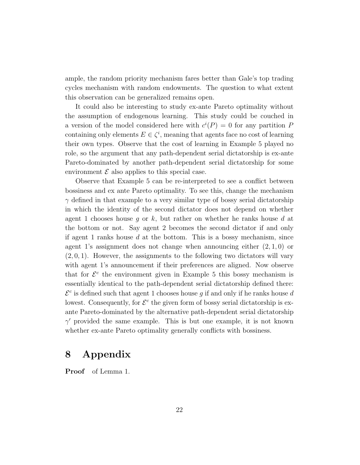ample, the random priority mechanism fares better than Gale's top trading cycles mechanism with random endowments. The question to what extent this observation can be generalized remains open.

It could also be interesting to study ex-ante Pareto optimality without the assumption of endogenous learning. This study could be couched in a version of the model considered here with  $c^{i}(P) = 0$  for any partition P containing only elements  $E \in \zeta^i$ , meaning that agents face no cost of learning their own types. Observe that the cost of learning in Example 5 played no role, so the argument that any path-dependent serial dictatorship is ex-ante Pareto-dominated by another path-dependent serial dictatorship for some environment  $\mathcal E$  also applies to this special case.

Observe that Example 5 can be re-interpreted to see a conflict between bossiness and ex ante Pareto optimality. To see this, change the mechanism  $\gamma$  defined in that example to a very similar type of bossy serial dictatorship in which the identity of the second dictator does not depend on whether agent 1 chooses house g or k, but rather on whether he ranks house d at the bottom or not. Say agent 2 becomes the second dictator if and only if agent 1 ranks house  $d$  at the bottom. This is a bossy mechanism, since agent 1's assignment does not change when announcing either  $(2, 1, 0)$  or  $(2, 0, 1)$ . However, the assignments to the following two dictators will vary with agent 1's announcement if their preferences are aligned. Now observe that for  $\mathcal{E}^c$  the environment given in Example 5 this bossy mechanism is essentially identical to the path-dependent serial dictatorship defined there:  $\mathcal{E}^c$  is defined such that agent 1 chooses house g if and only if he ranks house d lowest. Consequently, for  $\mathcal{E}^c$  the given form of bossy serial dictatorship is exante Pareto-dominated by the alternative path-dependent serial dictatorship  $\gamma'$  provided the same example. This is but one example, it is not known whether ex-ante Pareto optimality generally conflicts with bossiness.

# 8 Appendix

Proof of Lemma 1.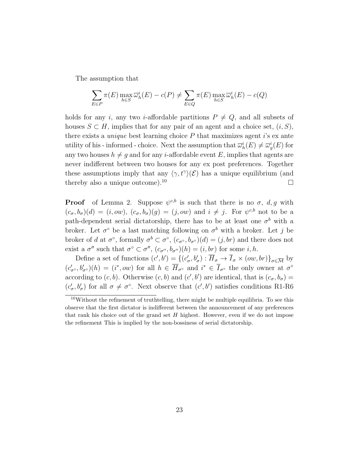The assumption that

$$
\sum_{E \in P} \pi(E) \max_{h \in S} \overline{\omega}_h^i(E) - c(P) \neq \sum_{E \in Q} \pi(E) \max_{h \in S} \overline{\omega}_h^i(E) - c(Q)
$$

holds for any i, any two *i*-affordable partitions  $P \neq Q$ , and all subsets of houses  $S \subset H$ , implies that for any pair of an agent and a choice set,  $(i, S)$ , there exists a *unique* best learning choice  $P$  that maximizes agent i's ex ante utility of his - informed - choice. Next the assumption that  $\overline{\omega}_h^i(E) \neq \overline{\omega}_g^i(E)$  for any two houses  $h \neq g$  and for any *i*-affordable event E, implies that agents are never indifferent between two houses for any ex post preferences. Together these assumptions imply that any  $\langle \gamma, t^{\gamma} \rangle (\mathcal{E})$  has a unique equilibrium (and thereby also a unique outcome).<sup>10</sup>

**Proof** of Lemma 2. Suppose  $\psi^{c,b}$  is such that there is no  $\sigma$ , d, g with  $(c_{\sigma}, b_{\sigma})$  $(d) = (i,ow), (c_{\sigma}, b_{\sigma})$  $(g) = (j,ow)$  and  $i \neq j$ . For  $\psi^{c,b}$  not to be a path-dependent serial dictatorship, there has to be at least one  $\sigma^b$  with a broker. Let  $\sigma^{\circ}$  be a last matching following on  $\sigma^{b}$  with a broker. Let j be broker of d at  $\sigma^{\circ}$ , formally  $\sigma^{b} \subset \sigma^{\circ}$ ,  $(c_{\sigma^{\circ}}, b_{\sigma^{\circ}})(d) = (j, br)$  and there does not exist a  $\sigma''$  such that  $\sigma^{\circ} \subset \sigma''$ ,  $(c_{\sigma''}, b_{\sigma''})(h) = (i, br)$  for some  $i, h$ .

Define a set of functions  $(c', b') = \{(c'_{\sigma}, b'_{\sigma}) : \overline{H}_{\sigma} \to \overline{I}_{\sigma} \times (ow, br)\}_{\sigma \in \overline{\mathcal{M}}}$  by  $(c'_{\sigma}, b'_{\sigma})$  $(h) = (i^*, \text{ow})$  for all  $h \in \overline{H}_{\sigma}$ <sup>o</sup> and  $i^* \in \overline{I}_{\sigma}$ <sup>o</sup> the only owner at  $\sigma$ <sup>o</sup> according to  $(c, b)$ . Otherwise  $(c, b)$  and  $(c', b')$  are identical, that is  $(c_{\sigma}, b_{\sigma}) =$  $(c'_{\sigma}, b'_{\sigma})$  for all  $\sigma \neq \sigma^{\circ}$ . Next observe that  $(c', b')$  satisfies conditions R1-R6

 $10$ Without the refinement of truthtelling, there might be multiple equilibria. To see this observe that the first dictator is indifferent between the announcement of any preferences that rank his choice out of the grand set  $H$  highest. However, even if we do not impose the refinement This is implied by the non-bossiness of serial dictatorship.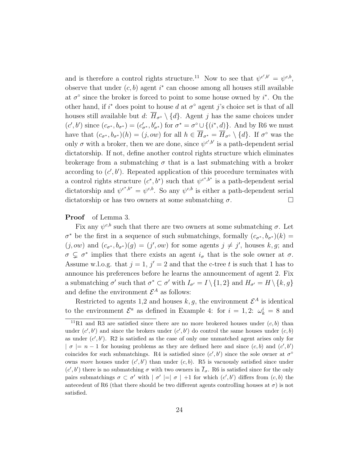and is therefore a control rights structure.<sup>11</sup> Now to see that  $\psi^{c',b'} = \psi^{c,b}$ , observe that under  $(c, b)$  agent  $i^*$  can choose among all houses still available at  $\sigma^{\circ}$  since the broker is forced to point to some house owned by i<sup>\*</sup>. On the other hand, if  $i^*$  does point to house d at  $\sigma^{\circ}$  agent j's choice set is that of all houses still available but d:  $\overline{H}_{\sigma} \setminus \{d\}$ . Agent j has the same choices under  $(c', b')$  since  $(c_{\sigma^*}, b_{\sigma^*}) = (c'_{\sigma^*}, b'_{\sigma^*})$  for  $\sigma^* = \sigma^{\circ} \cup \{(i^*, d)\}\$ . And by R6 we must have that  $(c_{\sigma^*}, b_{\sigma^*})(h) = (j,ow)$  for all  $h \in \overline{H}_{\sigma^*} = \overline{H}_{\sigma^{\circ}} \setminus \{d\}$ . If  $\sigma^{\circ}$  was the only  $\sigma$  with a broker, then we are done, since  $\psi^{c',b'}$  is a path-dependent serial dictatorship. If not, define another control rights structure which eliminates brokerage from a submatching  $\sigma$  that is a last submatching with a broker according to  $(c', b')$ . Repeated application of this procedure terminates with a control rights structure  $(c^*, b^*)$  such that  $\psi^{c^*, b^*}$  is a path-dependent serial dictatorship and  $\psi^{c^*,b^*} = \psi^{c,b}$ . So any  $\psi^{c,b}$  is either a path-dependent serial dictatorship or has two owners at some submatching  $\sigma$ .

#### Proof of Lemma 3.

Fix any  $\psi^{c,b}$  such that there are two owners at some submatching  $\sigma$ . Let  $\sigma^*$  be the first in a sequence of such submatchings, formally  $(c_{\sigma^*}, b_{\sigma^*})(k) =$  $(j,ow)$  and  $(c_{\sigma^*}, b_{\sigma^*})(g) = (j',ow)$  for some agents  $j \neq j'$ , houses k, g; and  $\sigma \subsetneq \sigma^*$  implies that there exists an agent  $i_{\sigma}$  that is the sole owner at  $\sigma$ . Assume w.l.o.g. that  $j = 1$ ,  $j' = 2$  and that the c-tree t is such that 1 has to announce his preferences before he learns the announcement of agent 2. Fix a submatching  $\sigma'$  such that  $\sigma^* \subset \sigma'$  with  $I_{\sigma'} = I \setminus \{1, 2\}$  and  $H_{\sigma'} = H \setminus \{k, g\}$ and define the environment  $\mathcal{E}^A$  as follows:

Restricted to agents 1,2 and houses  $k, g$ , the environment  $\mathcal{E}^A$  is identical to the environment  $\mathcal{E}^a$  as defined in Example 4: for  $i = 1, 2$ :  $\omega_k^i = 8$  and

<sup>&</sup>lt;sup>11</sup>R1 and R3 are satisfied since there are no more brokered houses under  $(c, b)$  than under  $(c', b')$  and since the brokers under  $(c', b')$  do control the same houses under  $(c, b)$ as under  $(c', b')$ . R2 is satisfied as the case of only one unmatched agent arises only for  $| \sigma | = n - 1$  for housing problems as they are defined here and since  $(c, b)$  and  $(c', b')$ coincides for such submatchings. R4 is satisfied since  $(c', b')$  since the sole owner at  $\sigma^{\circ}$ owns more houses under  $(c', b')$  than under  $(c, b)$ . R5 is vacuously satisfied since under  $(c', b')$  there is no submatching  $\sigma$  with two owners in  $\overline{I}_{\sigma}$ . R6 is satisfied since for the only pairs submatchings  $\sigma \subset \sigma'$  with  $|\sigma'|=|\sigma|+1$  for which  $(c',b')$  differs from  $(c,b)$  the antecedent of R6 (that there should be two different agents controlling houses at  $\sigma$ ) is not satisfied.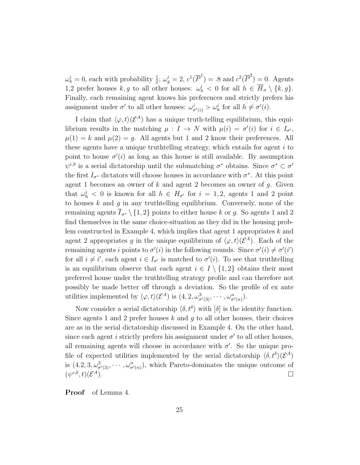$\omega_k^i = 0$ , each with probability  $\frac{1}{2}$ ;  $\omega_g^i = 2$ ,  $c^1(\overline{P}^1) = .8$  and  $c^2(\overline{P}^2) = 0$ . Agents 1,2 prefer houses  $k, g$  to all other houses:  $\omega_h^i < 0$  for all  $h \in \overline{H}_{\sigma} \setminus \{k, g\}.$ Finally, each remaining agent knows his preferences and strictly prefers his assignment under  $\sigma'$  to all other houses:  $\omega_{\sigma'(i)}^i > \omega_h^i$  for all  $h \neq \sigma'(i)$ .

I claim that  $\langle \varphi, t \rangle (\mathcal{E}^A)$  has a unique truth-telling equilibrium, this equilibrium results in the matching  $\mu: I \to N$  with  $\mu(i) = \sigma'(i)$  for  $i \in I_{\sigma'}$ ,  $\mu(1) = k$  and  $\mu(2) = g$ . All agents but 1 and 2 know their preferences. All these agents have a unique truthtelling strategy, which entails for agent  $i$  to point to house  $\sigma'(i)$  as long as this house is still available. By assumption  $\psi^{c,b}$  is a serial dictatorship until the submatching  $\sigma^*$  obtains. Since  $\sigma^* \subset \sigma'$ the first  $I_{\sigma^*}$  dictators will choose houses in accordance with  $\sigma^*$ . At this point agent 1 becomes an owner of  $k$  and agent 2 becomes an owner of  $q$ . Given that  $\omega_h^i$  < 0 is known for all  $h \in H_{\sigma'}$  for  $i = 1, 2$ , agents 1 and 2 point to houses  $k$  and  $g$  in any truthtelling equilibrium. Conversely, none of the remaining agents  $\overline{I}_{\sigma^*}\setminus\{1,2\}$  points to either house k or g. So agents 1 and 2 find themselves in the same choice-situation as they did in the housing problem constructed in Example 4, which implies that agent 1 appropriates k and agent 2 appropriates g in the unique equilibrium of  $\langle \varphi, t \rangle (\mathcal{E}^A)$ . Each of the remaining agents *i* points to  $\sigma'(i)$  in the following rounds. Since  $\sigma'(i) \neq \sigma'(i')$ for all  $i \neq i'$ , each agent  $i \in I_{\sigma'}$  is matched to  $\sigma'(i)$ . To see that truthtelling is an equilibrium observe that each agent  $i \in I \setminus \{1,2\}$  obtains their most preferred house under the truthtelling strategy profile and can therefore not possibly be made better off through a deviation. So the profile of ex ante utilities implemented by  $\langle \varphi, t \rangle (\mathcal{E}^A)$  is  $(4, 2, \omega^3_{\sigma'(3)}, \cdots, \omega^n_{\sigma'(n)})$ .

Now consider a serial dictatorship  $\langle \delta, t^{\delta} \rangle$  with  $|\delta|$  is the identity function. Since agents 1 and 2 prefer houses k and g to all other houses, their choices are as in the serial dictatorship discussed in Example 4. On the other hand, since each agent *i* strictly prefers his assignment under  $\sigma'$  to all other houses, all remaining agents will choose in accordance with  $\sigma'$ . So the unique profile of expected utilities implemented by the serial dictatorship  $\langle \delta, t^{\delta} \rangle (\mathcal{E}^A)$ is  $(4.2, 3, \omega^3_{\sigma'(3)}, \cdots, \omega^n_{\sigma'(n)})$ , which Pareto-dominates the unique outcome of  $(\psi^{c,b},t)(\mathcal{E}% _{c,b}^{\ast,\sigma,\delta},\mathcal{C}_{c,b}^{\ast,\sigma,\delta})\equiv\mathcal{C}_{c,b}(\mathcal{E}_{c,b}^{\ast,\sigma,\delta},\mathcal{C}_{c,b}^{\ast,\sigma,\delta})$  $A$ ).

Proof of Lemma 4.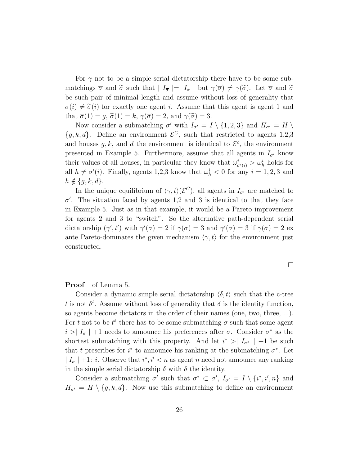For  $\gamma$  not to be a simple serial dictatorship there have to be some submatchings  $\bar{\sigma}$  and  $\tilde{\sigma}$  such that  $|I_{\bar{\sigma}}| = |I_{\tilde{\sigma}}|$  but  $\gamma(\bar{\sigma}) \neq \gamma(\tilde{\sigma})$ . Let  $\bar{\sigma}$  and  $\tilde{\sigma}$ be such pair of minimal length and assume without loss of generality that  $\overline{\sigma}(i) \neq \widetilde{\sigma}(i)$  for exactly one agent i. Assume that this agent is agent 1 and that  $\overline{\sigma}(1) = g$ ,  $\widetilde{\sigma}(1) = k$ ,  $\gamma(\overline{\sigma}) = 2$ , and  $\gamma(\widetilde{\sigma}) = 3$ .

Now consider a submatching  $\sigma'$  with  $I_{\sigma'} = I \setminus \{1, 2, 3\}$  and  $H_{\sigma'} = H \setminus$  ${g, k, d}$ . Define an environment  $\mathcal{E}^C$ , such that restricted to agents 1,2,3 and houses  $g, k$ , and d the environment is identical to  $\mathcal{E}^c$ , the environment presented in Example 5. Furthermore, assume that all agents in  $I_{\sigma'}$  know their values of all houses, in particular they know that  $\omega_{\sigma'(i)}^i > \omega_h^i$  holds for all  $h \neq \sigma'(i)$ . Finally, agents 1,2,3 know that  $\omega_h^i < 0$  for any  $i = 1, 2, 3$  and  $h \notin \{g, k, d\}.$ 

In the unique equilibrium of  $\langle \gamma, t \rangle (\mathcal{E}^C)$ , all agents in  $I_{\sigma'}$  are matched to  $\sigma'$ . The situation faced by agents 1,2 and 3 is identical to that they face in Example 5. Just as in that example, it would be a Pareto improvement for agents 2 and 3 to "switch". So the alternative path-dependent serial dictatorship  $(\gamma', t')$  with  $\gamma'(\sigma) = 2$  if  $\gamma(\sigma) = 3$  and  $\gamma'(\sigma) = 3$  if  $\gamma(\sigma) = 2$  ex ante Pareto-dominates the given mechanism  $\langle \gamma, t \rangle$  for the environment just constructed.

 $\Box$ 

#### Proof of Lemma 5.

Consider a dynamic simple serial dictatorship  $\langle \delta, t \rangle$  such that the c-tree t is not  $\delta^t$ . Assume without loss of generality that  $\delta$  is the identity function, so agents become dictators in the order of their names (one, two, three, ...). For t not to be  $t^{\delta}$  there has to be some submatching  $\sigma$  such that some agent  $i > |I_{\sigma}| + 1$  needs to announce his preferences after  $\sigma$ . Consider  $\sigma^*$  as the shortest submatching with this property. And let  $i^*$  >  $|I_{\sigma^*}|$  +1 be such that t prescribes for  $i^*$  to announce his ranking at the submatching  $\sigma^*$ . Let  $|I_{\sigma}| + 1$ : *i*. Observe that  $i^*, i' < n$  as agent n need not announce any ranking in the simple serial dictatorship  $\delta$  with  $\delta$  the identity.

Consider a submatching  $\sigma'$  such that  $\sigma^* \subset \sigma'$ ,  $I_{\sigma'} = I \setminus \{i^*, i', n\}$  and  $H_{\sigma'} = H \setminus \{g, k, d\}.$  Now use this submatching to define an environment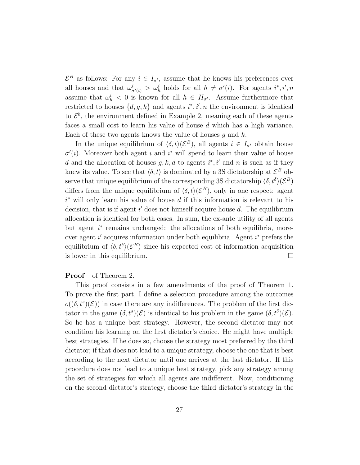$\mathcal{E}^B$  as follows: For any  $i \in I_{\sigma'}$ , assume that he knows his preferences over all houses and that  $\omega^i_{\sigma'(i)} > \omega^i_h$  holds for all  $h \neq \sigma'(i)$ . For agents  $i^*, i', n$ assume that  $\omega_h^i < 0$  is known for all  $h \in H_{\sigma'}$ . Assume furthermore that restricted to houses  $\{d, g, k\}$  and agents  $i^*, i', n$  the environment is identical to  $\mathcal{E}^b$ , the environment defined in Example 2, meaning each of these agents faces a small cost to learn his value of house d which has a high variance. Each of these two agents knows the value of houses  $q$  and  $k$ .

In the unique equilibrium of  $\langle \delta, t \rangle (\mathcal{E}^B)$ , all agents  $i \in I_{\sigma'}$  obtain house  $\sigma'(i)$ . Moreover both agent i and i<sup>\*</sup> will spend to learn their value of house d and the allocation of houses  $g, k, d$  to agents  $i^*, i'$  and n is such as if they knew its value. To see that  $\langle \delta, t \rangle$  is dominated by a 3S dictatorship at  $\mathcal{E}^B$  observe that unique equilibrium of the corresponding 3S dictatorship  $\langle \delta, t^{\delta} \rangle (\mathcal{E}^B)$ differs from the unique equilibrium of  $\langle \delta, t \rangle (\mathcal{E}^B)$ , only in one respect: agent  $i^*$  will only learn his value of house d if this information is relevant to his decision, that is if agent  $i'$  does not himself acquire house  $d$ . The equilibrium allocation is identical for both cases. In sum, the ex-ante utility of all agents but agent  $i^*$  remains unchanged: the allocations of both equilibria, moreover agent  $i'$  acquires information under both equilibria. Agent  $i^*$  prefers the equilibrium of  $\langle \delta, t^{\delta} \rangle (\mathcal{E}^{B})$  since his expected cost of information acquisition is lower in this equilibrium.  $\Box$ 

#### Proof of Theorem 2.

This proof consists in a few amendments of the proof of Theorem 1. To prove the first part, I define a selection procedure among the outcomes  $o((\delta, t^s)(\mathcal{E}))$  in case there are any indifferences. The problem of the first dictator in the game  $(\delta, t^s)(\mathcal{E})$  is identical to his problem in the game  $(\delta, t^{\delta})(\mathcal{E})$ . So he has a unique best strategy. However, the second dictator may not condition his learning on the first dictator's choice. He might have multiple best strategies. If he does so, choose the strategy most preferred by the third dictator; if that does not lead to a unique strategy, choose the one that is best according to the next dictator until one arrives at the last dictator. If this procedure does not lead to a unique best strategy, pick any strategy among the set of strategies for which all agents are indifferent. Now, conditioning on the second dictator's strategy, choose the third dictator's strategy in the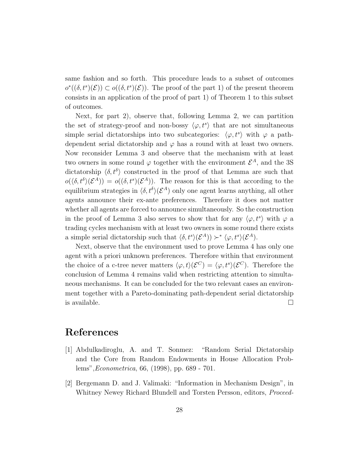same fashion and so forth. This procedure leads to a subset of outcomes  $o^{\ast}((\delta, t^s)(\mathcal{E})) \subset o((\delta, t^s)(\mathcal{E}))$ . The proof of the part 1) of the present theorem consists in an application of the proof of part 1) of Theorem 1 to this subset of outcomes.

Next, for part 2), observe that, following Lemma 2, we can partition the set of strategy-proof and non-bossy  $\langle \varphi, t^s \rangle$  that are not simultaneous simple serial dictatorships into two subcategories:  $\langle \varphi, t^s \rangle$  with  $\varphi$  a pathdependent serial dictatorship and  $\varphi$  has a round with at least two owners. Now reconsider Lemma 3 and observe that the mechanism with at least two owners in some round  $\varphi$  together with the environment  $\mathcal{E}^{A}$ , and the 3S dictatorship  $\langle \delta, t^{\delta} \rangle$  constructed in the proof of that Lemma are such that  $o(\langle \delta, t^{\delta} \rangle (\mathcal{E}^A)) = o((\delta, t^s)(\mathcal{E}^A)).$  The reason for this is that according to the equilibrium strategies in  $\langle \delta, t^{\delta} \rangle (\mathcal{E}^{A})$  only one agent learns anything, all other agents announce their ex-ante preferences. Therefore it does not matter whether all agents are forced to announce simultaneously. So the construction in the proof of Lemma 3 also serves to show that for any  $\langle \varphi, t^s \rangle$  with  $\varphi$  a trading cycles mechanism with at least two owners in some round there exists a simple serial dictatorship such that  $\langle \delta, t^s \rangle (\mathcal{E}^A) \rangle \rightarrow^* \langle \varphi, t^s \rangle (\mathcal{E}^A)$ .

Next, observe that the environment used to prove Lemma 4 has only one agent with a priori unknown preferences. Therefore within that environment the choice of a c-tree never matters  $\langle \varphi, t \rangle (\mathcal{E}^C) = \langle \varphi, t^s \rangle (\mathcal{E}^C)$ . Therefore the conclusion of Lemma 4 remains valid when restricting attention to simultaneous mechanisms. It can be concluded for the two relevant cases an environment together with a Pareto-dominating path-dependent serial dictatorship is available.  $\square$ 

# References

- [1] Abdulkadiroglu, A. and T. Sonmez: "Random Serial Dictatorship and the Core from Random Endowments in House Allocation Problems",Econometrica, 66, (1998), pp. 689 - 701.
- [2] Bergemann D. and J. Valimaki: "Information in Mechanism Design", in Whitney Newey Richard Blundell and Torsten Persson, editors, Proceed-